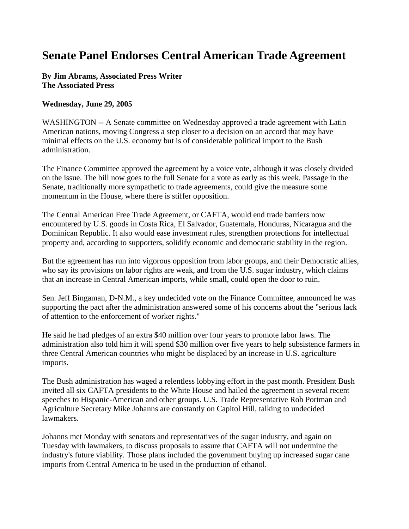## **Senate Panel Endorses Central American Trade Agreement**

**By Jim Abrams, Associated Press Writer The Associated Press** 

## **Wednesday, June 29, 2005**

WASHINGTON -- A Senate committee on Wednesday approved a trade agreement with Latin American nations, moving Congress a step closer to a decision on an accord that may have minimal effects on the U.S. economy but is of considerable political import to the Bush administration.

The Finance Committee approved the agreement by a voice vote, although it was closely divided on the issue. The bill now goes to the full Senate for a vote as early as this week. Passage in the Senate, traditionally more sympathetic to trade agreements, could give the measure some momentum in the House, where there is stiffer opposition.

The Central American Free Trade Agreement, or CAFTA, would end trade barriers now encountered by U.S. goods in Costa Rica, El Salvador, Guatemala, Honduras, Nicaragua and the Dominican Republic. It also would ease investment rules, strengthen protections for intellectual property and, according to supporters, solidify economic and democratic stability in the region.

But the agreement has run into vigorous opposition from labor groups, and their Democratic allies, who say its provisions on labor rights are weak, and from the U.S. sugar industry, which claims that an increase in Central American imports, while small, could open the door to ruin.

Sen. Jeff Bingaman, D-N.M., a key undecided vote on the Finance Committee, announced he was supporting the pact after the administration answered some of his concerns about the "serious lack of attention to the enforcement of worker rights."

He said he had pledges of an extra \$40 million over four years to promote labor laws. The administration also told him it will spend \$30 million over five years to help subsistence farmers in three Central American countries who might be displaced by an increase in U.S. agriculture imports.

The Bush administration has waged a relentless lobbying effort in the past month. President Bush invited all six CAFTA presidents to the White House and hailed the agreement in several recent speeches to Hispanic-American and other groups. U.S. Trade Representative Rob Portman and Agriculture Secretary Mike Johanns are constantly on Capitol Hill, talking to undecided lawmakers.

Johanns met Monday with senators and representatives of the sugar industry, and again on Tuesday with lawmakers, to discuss proposals to assure that CAFTA will not undermine the industry's future viability. Those plans included the government buying up increased sugar cane imports from Central America to be used in the production of ethanol.